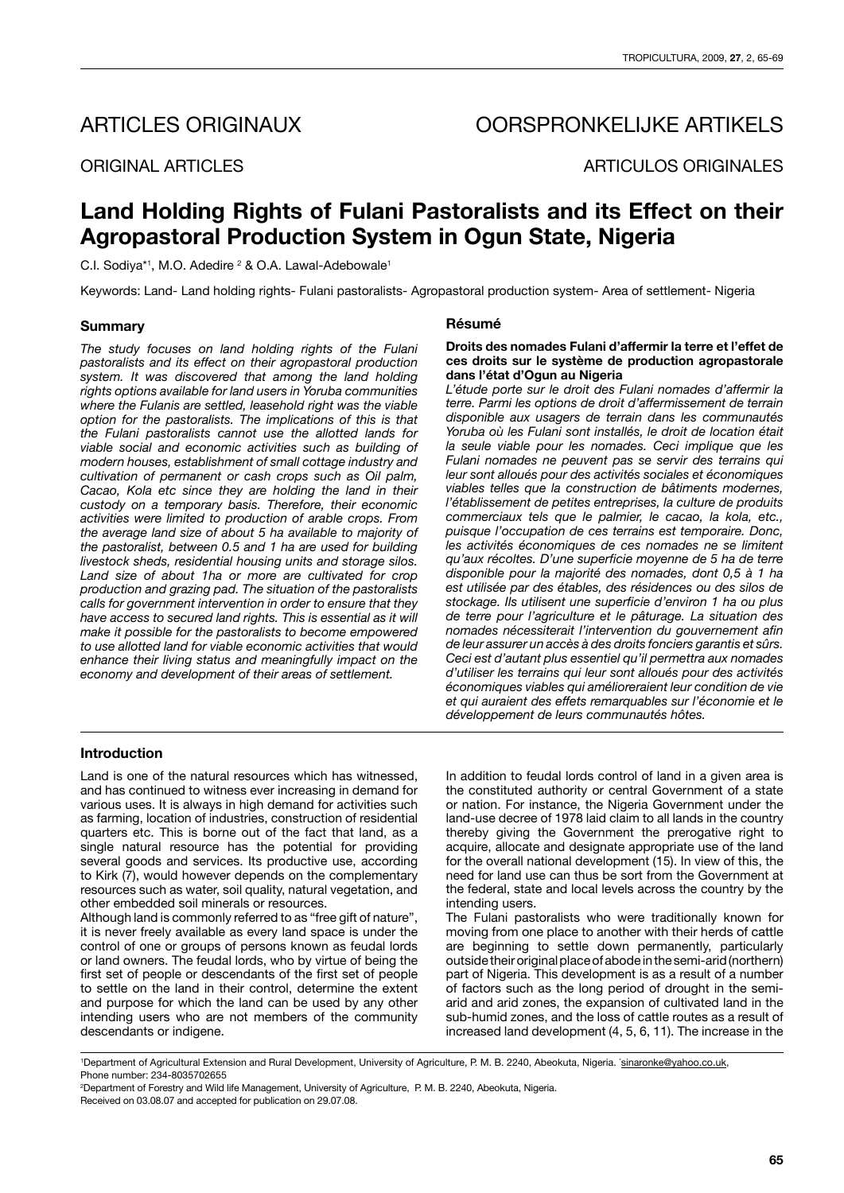# ARTICLES ORIGINAUX OORSPRONKELIJKE ARTIKELS

ORIGINAL ARTICLES ARTICULOS ORIGINALES

# **Land Holding Rights of Fulani Pastoralists and its Effect on their Agropastoral Production System in Ogun State, Nigeria**

C.I. Sodiya\*1, M.O. Adedire <sup>2</sup> & O.A. Lawal-Adebowale<sup>1</sup>

Keywords: Land- Land holding rights- Fulani pastoralists- Agropastoral production system- Area of settlement- Nigeria

## **Summary**

*The study focuses on land holding rights of the Fulani pastoralists and its effect on their agropastoral production system. It was discovered that among the land holding rights options available for land users in Yoruba communities where the Fulanis are settled, leasehold right was the viable option for the pastoralists. The implications of this is that the Fulani pastoralists cannot use the allotted lands for viable social and economic activities such as building of modern houses, establishment of small cottage industry and cultivation of permanent or cash crops such as Oil palm, Cacao, Kola etc since they are holding the land in their custody on a temporary basis. Therefore, their economic activities were limited to production of arable crops. From the average land size of about 5 ha available to majority of the pastoralist, between 0.5 and 1 ha are used for building livestock sheds, residential housing units and storage silos. Land size of about 1ha or more are cultivated for crop production and grazing pad. The situation of the pastoralists calls for government intervention in order to ensure that they have access to secured land rights. This is essential as it will make it possible for the pastoralists to become empowered to use allotted land for viable economic activities that would enhance their living status and meaningfully impact on the economy and development of their areas of settlement.*

# **Résumé**

### **Droits des nomades Fulani d'affermir la terre et l'effet de ces droits sur le système de production agropastorale dans l'état d'Ogun au Nigeria**

*L'étude porte sur le droit des Fulani nomades d'affermir la terre. Parmi les options de droit d'affermissement de terrain disponible aux usagers de terrain dans les communautés Yoruba où les Fulani sont installés, le droit de location était la seule viable pour les nomades. Ceci implique que les Fulani nomades ne peuvent pas se servir des terrains qui leur sont alloués pour des activités sociales et économiques viables telles que la construction de bâtiments modernes, l'établissement de petites entreprises, la culture de produits commerciaux tels que le palmier, le cacao, la kola, etc., puisque l'occupation de ces terrains est temporaire. Donc, les activités économiques de ces nomades ne se limitent qu'aux récoltes. D'une superficie moyenne de 5 ha de terre disponible pour la majorité des nomades, dont 0,5 à 1 ha est utilisée par des étables, des résidences ou des silos de stockage. Ils utilisent une superficie d'environ 1 ha ou plus de terre pour l'agriculture et le pâturage. La situation des nomades nécessiterait l'intervention du gouvernement afin de leur assurer un accès à des droits fonciers garantis et sûrs. Ceci est d'autant plus essentiel qu'il permettra aux nomades d'utiliser les terrains qui leur sont alloués pour des activités économiques viables qui amélioreraient leur condition de vie et qui auraient des effets remarquables sur l'économie et le développement de leurs communautés hôtes.*

# **Introduction**

Land is one of the natural resources which has witnessed, and has continued to witness ever increasing in demand for various uses. It is always in high demand for activities such as farming, location of industries, construction of residential quarters etc. This is borne out of the fact that land, as a single natural resource has the potential for providing several goods and services. Its productive use, according to Kirk  $(7)$ , would however depends on the complementary resources such as water, soil quality, natural vegetation, and other embedded soil minerals or resources.

Although land is commonly referred to as "free gift of nature", it is never freely available as every land space is under the control of one or groups of persons known as feudal lords or land owners. The feudal lords, who by virtue of being the first set of people or descendants of the first set of people to settle on the land in their control, determine the extent and purpose for which the land can be used by any other intending users who are not members of the community descendants or indigene.

In addition to feudal lords control of land in a given area is the constituted authority or central Government of a state or nation. For instance, the Nigeria Government under the land-use decree of 1978 laid claim to all lands in the country thereby giving the Government the prerogative right to acquire, allocate and designate appropriate use of the land for the overall national development (15). In view of this, the need for land use can thus be sort from the Government at the federal, state and local levels across the country by the intending users.

The Fulani pastoralists who were traditionally known for moving from one place to another with their herds of cattle are beginning to settle down permanently, particularly outside their original place of abode in the semi-arid (northern) part of Nigeria. This development is as a result of a number of factors such as the long period of drought in the semiarid and arid zones, the expansion of cultivated land in the sub-humid zones, and the loss of cattle routes as a result of increased land development (4, 5, 6, 11). The increase in the

<sup>&</sup>lt;sup>1</sup>Department of Agricultural Extension and Rural Development, University of Agriculture, P. M. B. 2240, Abeokuta, Nigeria. *\*sinaronke@yahoo.co.uk*, Phone number: 234-8035702655

<sup>2</sup> Department of Forestry and Wild life Management, University of Agriculture, P. M. B. 2240, Abeokuta, Nigeria. Received on 03.08.07 and accepted for publication on 29.07.08.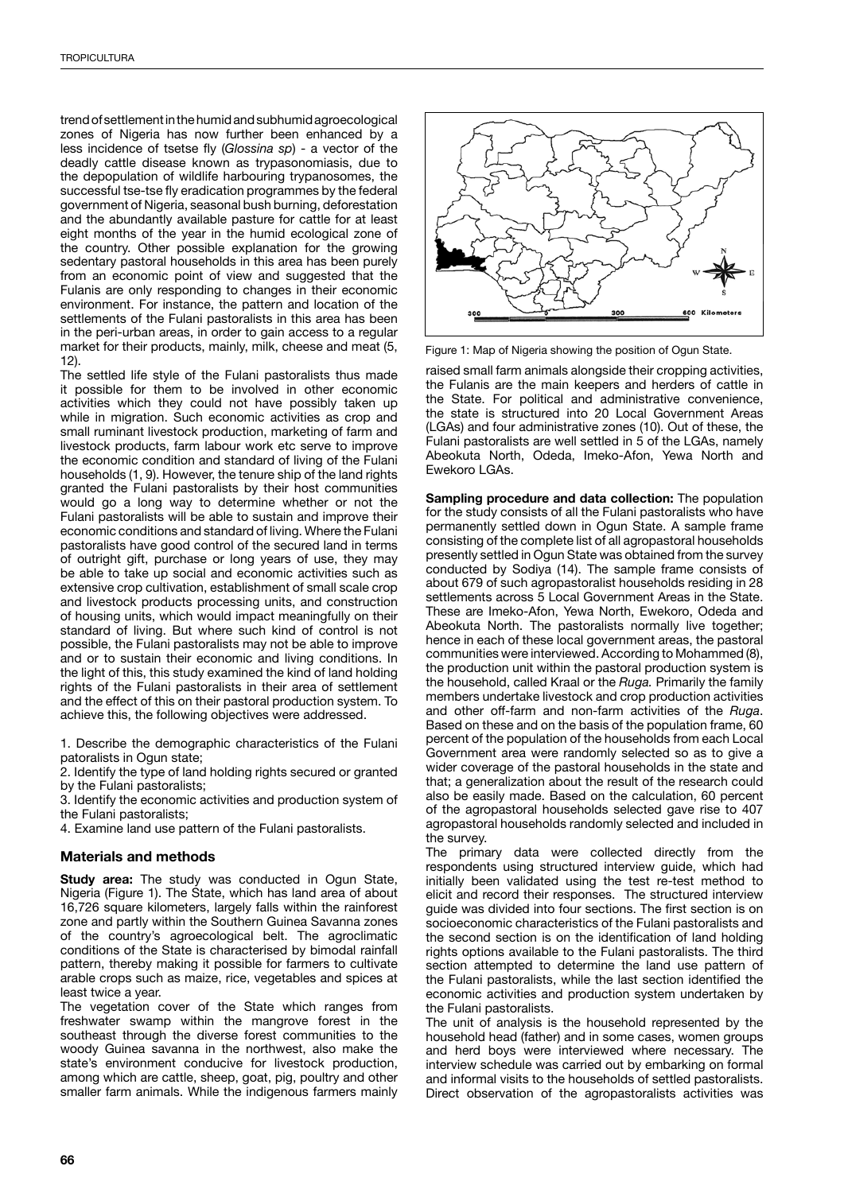trend of settlement in the humid and subhumid agroecological zones of Nigeria has now further been enhanced by a less incidence of tsetse fly (*Glossina sp*) - a vector of the deadly cattle disease known as trypasonomiasis, due to the depopulation of wildlife harbouring trypanosomes, the successful tse-tse fly eradication programmes by the federal government of Nigeria, seasonal bush burning, deforestation and the abundantly available pasture for cattle for at least eight months of the year in the humid ecological zone of the country. Other possible explanation for the growing sedentary pastoral households in this area has been purely from an economic point of view and suggested that the Fulanis are only responding to changes in their economic environment. For instance, the pattern and location of the settlements of the Fulani pastoralists in this area has been in the peri-urban areas, in order to gain access to a regular market for their products, mainly, milk, cheese and meat (5, 12).

The settled life style of the Fulani pastoralists thus made it possible for them to be involved in other economic activities which they could not have possibly taken up while in migration. Such economic activities as crop and small ruminant livestock production, marketing of farm and livestock products, farm labour work etc serve to improve the economic condition and standard of living of the Fulani households (1, 9). However, the tenure ship of the land rights granted the Fulani pastoralists by their host communities would go a long way to determine whether or not the Fulani pastoralists will be able to sustain and improve their economic conditions and standard of living. Where the Fulani pastoralists have good control of the secured land in terms of outright gift, purchase or long years of use, they may be able to take up social and economic activities such as extensive crop cultivation, establishment of small scale crop and livestock products processing units, and construction of housing units, which would impact meaningfully on their standard of living. But where such kind of control is not possible, the Fulani pastoralists may not be able to improve and or to sustain their economic and living conditions. In the light of this, this study examined the kind of land holding rights of the Fulani pastoralists in their area of settlement and the effect of this on their pastoral production system. To achieve this, the following objectives were addressed.

1. Describe the demographic characteristics of the Fulani patoralists in Ogun state;

2. Identify the type of land holding rights secured or granted by the Fulani pastoralists;

3. Identify the economic activities and production system of the Fulani pastoralists;

4. Examine land use pattern of the Fulani pastoralists.

# **Materials and methods**

**Study area:** The study was conducted in Ogun State, Nigeria (Figure 1). The State, which has land area of about 16,726 square kilometers, largely falls within the rainforest zone and partly within the Southern Guinea Savanna zones of the country's agroecological belt. The agroclimatic conditions of the State is characterised by bimodal rainfall pattern, thereby making it possible for farmers to cultivate arable crops such as maize, rice, vegetables and spices at least twice a year.

The vegetation cover of the State which ranges from freshwater swamp within the mangrove forest in the southeast through the diverse forest communities to the woody Guinea savanna in the northwest, also make the state's environment conducive for livestock production, among which are cattle, sheep, goat, pig, poultry and other smaller farm animals. While the indigenous farmers mainly



Figure 1: Map of Nigeria showing the position of Ogun State.

raised small farm animals alongside their cropping activities, the Fulanis are the main keepers and herders of cattle in the State. For political and administrative convenience, the state is structured into 20 Local Government Areas (LGAs) and four administrative zones (10). Out of these, the Fulani pastoralists are well settled in 5 of the LGAs, namely Abeokuta North, Odeda, Imeko-Afon, Yewa North and Ewekoro LGAs.

**Sampling procedure and data collection:** The population for the study consists of all the Fulani pastoralists who have permanently settled down in Ogun State. A sample frame consisting of the complete list of all agropastoral households presently settled in Ogun State was obtained from the survey conducted by Sodiya (14). The sample frame consists of about 679 of such agropastoralist households residing in 28 settlements across 5 Local Government Areas in the State. These are Imeko-Afon, Yewa North, Ewekoro, Odeda and Abeokuta North. The pastoralists normally live together; hence in each of these local government areas, the pastoral communities were interviewed. According to Mohammed (8), the production unit within the pastoral production system is the household, called Kraal or the *Ruga.* Primarily the family members undertake livestock and crop production activities and other off-farm and non-farm activities of the *Ruga*. Based on these and on the basis of the population frame, 60 percent of the population of the households from each Local Government area were randomly selected so as to give a wider coverage of the pastoral households in the state and that; a generalization about the result of the research could also be easily made. Based on the calculation, 60 percent of the agropastoral households selected gave rise to 407 agropastoral households randomly selected and included in the survey.

The primary data were collected directly from the respondents using structured interview guide, which had initially been validated using the test re-test method to elicit and record their responses. The structured interview guide was divided into four sections. The first section is on socioeconomic characteristics of the Fulani pastoralists and the second section is on the identification of land holding rights options available to the Fulani pastoralists. The third section attempted to determine the land use pattern of the Fulani pastoralists, while the last section identified the economic activities and production system undertaken by the Fulani pastoralists.

The unit of analysis is the household represented by the household head (father) and in some cases, women groups and herd boys were interviewed where necessary. The interview schedule was carried out by embarking on formal and informal visits to the households of settled pastoralists. Direct observation of the agropastoralists activities was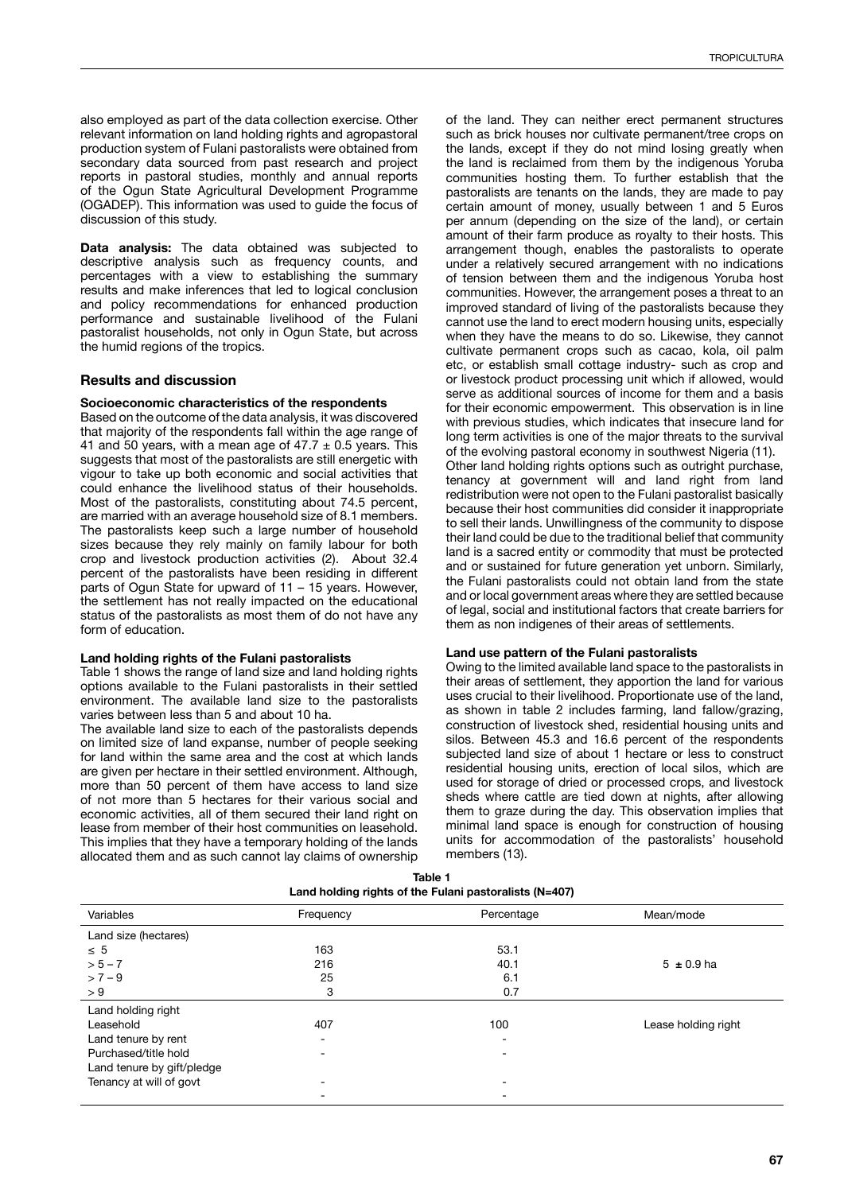also employed as part of the data collection exercise. Other relevant information on land holding rights and agropastoral production system of Fulani pastoralists were obtained from secondary data sourced from past research and project reports in pastoral studies, monthly and annual reports of the Ogun State Agricultural Development Programme (OGADEP). This information was used to guide the focus of discussion of this study.

**Data analysis:** The data obtained was subjected to descriptive analysis such as frequency counts, and percentages with a view to establishing the summary results and make inferences that led to logical conclusion and policy recommendations for enhanced production performance and sustainable livelihood of the Fulani pastoralist households, not only in Ogun State, but across the humid regions of the tropics.

# **Results and discussion**

### **Socioeconomic characteristics of the respondents**

Based on the outcome of the data analysis, it was discovered that majority of the respondents fall within the age range of 41 and 50 years, with a mean age of  $47.7 \pm 0.5$  years. This suggests that most of the pastoralists are still energetic with vigour to take up both economic and social activities that could enhance the livelihood status of their households. Most of the pastoralists, constituting about 74.5 percent, are married with an average household size of 8.1 members. The pastoralists keep such a large number of household sizes because they rely mainly on family labour for both crop and livestock production activities (2). About 32.4 percent of the pastoralists have been residing in different parts of Ogun State for upward of 11 – 15 years. However, the settlement has not really impacted on the educational status of the pastoralists as most them of do not have any form of education.

#### **Land holding rights of the Fulani pastoralists**

Table 1 shows the range of land size and land holding rights options available to the Fulani pastoralists in their settled environment. The available land size to the pastoralists varies between less than 5 and about 10 ha.

The available land size to each of the pastoralists depends on limited size of land expanse, number of people seeking for land within the same area and the cost at which lands are given per hectare in their settled environment. Although, more than 50 percent of them have access to land size of not more than 5 hectares for their various social and economic activities, all of them secured their land right on lease from member of their host communities on leasehold. This implies that they have a temporary holding of the lands allocated them and as such cannot lay claims of ownership of the land. They can neither erect permanent structures such as brick houses nor cultivate permanent/tree crops on the lands, except if they do not mind losing greatly when the land is reclaimed from them by the indigenous Yoruba communities hosting them. To further establish that the pastoralists are tenants on the lands, they are made to pay certain amount of money, usually between 1 and 5 Euros per annum (depending on the size of the land), or certain amount of their farm produce as royalty to their hosts. This arrangement though, enables the pastoralists to operate under a relatively secured arrangement with no indications of tension between them and the indigenous Yoruba host communities. However, the arrangement poses a threat to an improved standard of living of the pastoralists because they cannot use the land to erect modern housing units, especially when they have the means to do so. Likewise, they cannot cultivate permanent crops such as cacao, kola, oil palm etc, or establish small cottage industry- such as crop and or livestock product processing unit which if allowed, would serve as additional sources of income for them and a basis for their economic empowerment. This observation is in line with previous studies, which indicates that insecure land for long term activities is one of the major threats to the survival of the evolving pastoral economy in southwest Nigeria (11). Other land holding rights options such as outright purchase, tenancy at government will and land right from land redistribution were not open to the Fulani pastoralist basically because their host communities did consider it inappropriate to sell their lands. Unwillingness of the community to dispose their land could be due to the traditional belief that community land is a sacred entity or commodity that must be protected and or sustained for future generation yet unborn. Similarly, the Fulani pastoralists could not obtain land from the state and or local government areas where they are settled because

#### **Land use pattern of the Fulani pastoralists**

them as non indigenes of their areas of settlements.

Owing to the limited available land space to the pastoralists in their areas of settlement, they apportion the land for various uses crucial to their livelihood. Proportionate use of the land, as shown in table 2 includes farming, land fallow/grazing, construction of livestock shed, residential housing units and silos. Between 45.3 and 16.6 percent of the respondents subjected land size of about 1 hectare or less to construct residential housing units, erection of local silos, which are used for storage of dried or processed crops, and livestock sheds where cattle are tied down at nights, after allowing them to graze during the day. This observation implies that minimal land space is enough for construction of housing units for accommodation of the pastoralists' household members (13).

of legal, social and institutional factors that create barriers for

| Land holding rights of the Fulani pastoralists (N=407) |           |            |                     |  |  |  |
|--------------------------------------------------------|-----------|------------|---------------------|--|--|--|
| Variables                                              | Frequency | Percentage | Mean/mode           |  |  |  |
| Land size (hectares)                                   |           |            |                     |  |  |  |
| $\leq 5$                                               | 163       | 53.1       |                     |  |  |  |
| $> 5 - 7$                                              | 216       | 40.1       | $5 \pm 0.9$ ha      |  |  |  |
| $> 7 - 9$                                              | 25        | 6.1        |                     |  |  |  |
| > 9                                                    | 3         | 0.7        |                     |  |  |  |
| Land holding right                                     |           |            |                     |  |  |  |
| Leasehold                                              | 407       | 100        | Lease holding right |  |  |  |
| Land tenure by rent                                    |           |            |                     |  |  |  |
| Purchased/title hold                                   |           |            |                     |  |  |  |
| Land tenure by gift/pledge                             |           |            |                     |  |  |  |
| Tenancy at will of govt                                |           |            |                     |  |  |  |
|                                                        |           |            |                     |  |  |  |

| Table 1                                                |
|--------------------------------------------------------|
| Land holding rights of the Fulani pastoralists (N=407) |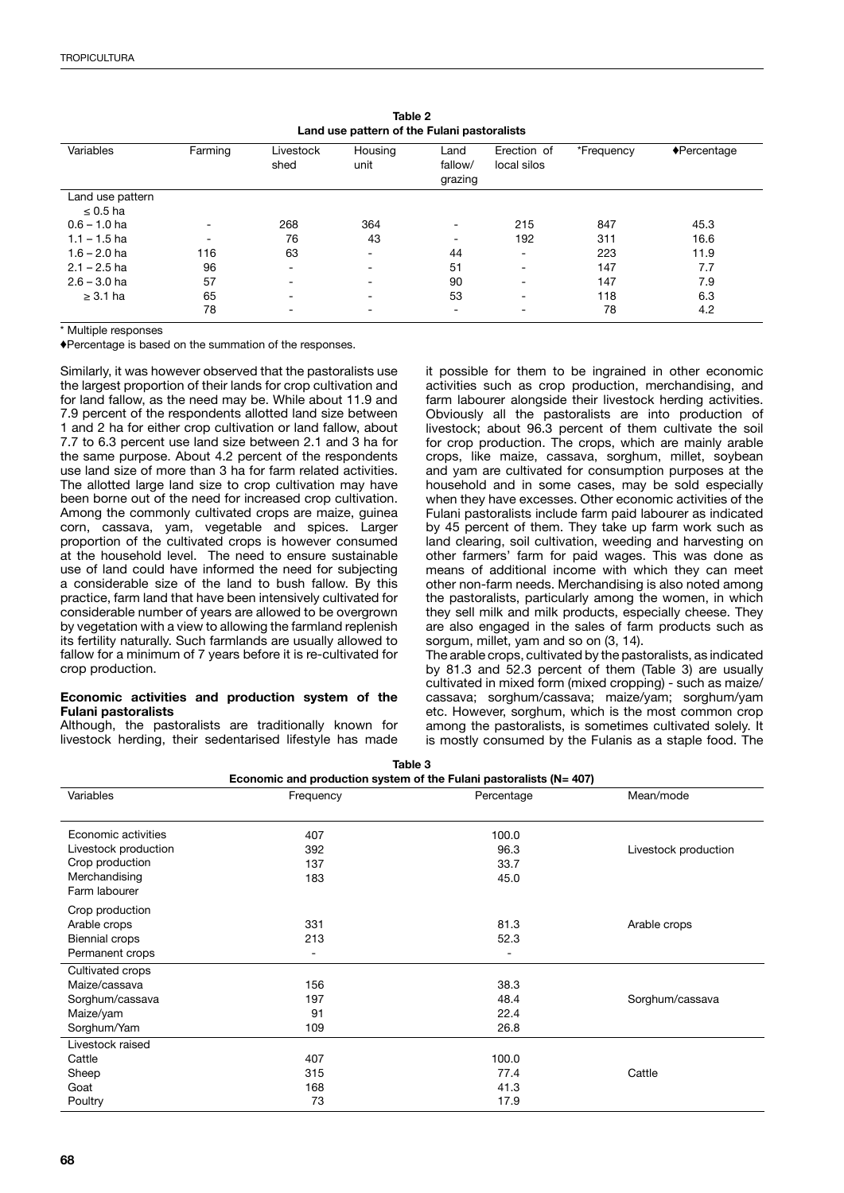| Land use pattern of the Fulani pastoralists |         |                          |                 |                            |                            |            |                            |
|---------------------------------------------|---------|--------------------------|-----------------|----------------------------|----------------------------|------------|----------------------------|
| Variables                                   | Farming | Livestock<br>shed        | Housing<br>unit | Land<br>fallow/<br>grazing | Erection of<br>local silos | *Frequency | $\blacklozenge$ Percentage |
| Land use pattern                            |         |                          |                 |                            |                            |            |                            |
| $\leq 0.5$ ha                               |         |                          |                 |                            |                            |            |                            |
| $0.6 - 1.0$ ha                              |         | 268                      | 364             | -                          | 215                        | 847        | 45.3                       |
| $1.1 - 1.5$ ha                              |         | 76                       | 43              | -                          | 192                        | 311        | 16.6                       |
| $1.6 - 2.0$ ha                              | 116     | 63                       |                 | 44                         | ۰                          | 223        | 11.9                       |
| $2.1 - 2.5$ ha                              | 96      | $\overline{\phantom{a}}$ |                 | 51                         | $\overline{\phantom{a}}$   | 147        | 7.7                        |
| $2.6 - 3.0$ ha                              | 57      | $\overline{\phantom{a}}$ |                 | 90                         | $\overline{\phantom{0}}$   | 147        | 7.9                        |
| $\geq$ 3.1 ha                               | 65      | $\overline{\phantom{a}}$ | -               | 53                         | $\overline{\phantom{a}}$   | 118        | 6.3                        |
|                                             | 78      | $\overline{\phantom{a}}$ | -               | $\overline{\phantom{0}}$   | -                          | 78         | 4.2                        |

**Table 2 Land use pattern of the Fulani pastoralists**

\* Multiple responses

♦Percentage is based on the summation of the responses.

Similarly, it was however observed that the pastoralists use the largest proportion of their lands for crop cultivation and for land fallow, as the need may be. While about 11.9 and 7.9 percent of the respondents allotted land size between 1 and 2 ha for either crop cultivation or land fallow, about 7.7 to 6.3 percent use land size between 2.1 and 3 ha for the same purpose. About 4.2 percent of the respondents use land size of more than 3 ha for farm related activities. The allotted large land size to crop cultivation may have been borne out of the need for increased crop cultivation. Among the commonly cultivated crops are maize, guinea corn, cassava, yam, vegetable and spices. Larger proportion of the cultivated crops is however consumed at the household level. The need to ensure sustainable use of land could have informed the need for subjecting a considerable size of the land to bush fallow. By this practice, farm land that have been intensively cultivated for considerable number of years are allowed to be overgrown by vegetation with a view to allowing the farmland replenish its fertility naturally. Such farmlands are usually allowed to fallow for a minimum of 7 years before it is re-cultivated for crop production.

### **Economic activities and production system of the Fulani pastoralists**

Although, the pastoralists are traditionally known for livestock herding, their sedentarised lifestyle has made it possible for them to be ingrained in other economic activities such as crop production, merchandising, and farm labourer alongside their livestock herding activities. Obviously all the pastoralists are into production of livestock; about 96.3 percent of them cultivate the soil for crop production. The crops, which are mainly arable crops, like maize, cassava, sorghum, millet, soybean and yam are cultivated for consumption purposes at the household and in some cases, may be sold especially when they have excesses. Other economic activities of the Fulani pastoralists include farm paid labourer as indicated by 45 percent of them. They take up farm work such as land clearing, soil cultivation, weeding and harvesting on other farmers' farm for paid wages. This was done as means of additional income with which they can meet other non-farm needs. Merchandising is also noted among the pastoralists, particularly among the women, in which they sell milk and milk products, especially cheese. They are also engaged in the sales of farm products such as sorgum, millet, yam and so on (3, 14).

The arable crops, cultivated by the pastoralists, as indicated by 81.3 and 52.3 percent of them (Table 3) are usually cultivated in mixed form (mixed cropping) - such as maize/ cassava; sorghum/cassava; maize/yam; sorghum/yam etc. However, sorghum, which is the most common crop among the pastoralists, is sometimes cultivated solely. It is mostly consumed by the Fulanis as a staple food. The

| iauic J                                                                 |           |            |                      |  |  |  |  |
|-------------------------------------------------------------------------|-----------|------------|----------------------|--|--|--|--|
| Economic and production system of the Fulani pastoralists ( $N = 407$ ) |           |            |                      |  |  |  |  |
| Variables                                                               | Frequency | Percentage | Mean/mode            |  |  |  |  |
|                                                                         |           |            |                      |  |  |  |  |
| Economic activities                                                     | 407       | 100.0      |                      |  |  |  |  |
| Livestock production                                                    | 392       | 96.3       | Livestock production |  |  |  |  |
| Crop production                                                         | 137       | 33.7       |                      |  |  |  |  |
| Merchandising                                                           | 183       | 45.0       |                      |  |  |  |  |
| Farm labourer                                                           |           |            |                      |  |  |  |  |
| Crop production                                                         |           |            |                      |  |  |  |  |
| Arable crops                                                            | 331       | 81.3       | Arable crops         |  |  |  |  |
| Biennial crops                                                          | 213       | 52.3       |                      |  |  |  |  |
| Permanent crops                                                         | Ξ.        |            |                      |  |  |  |  |
| Cultivated crops                                                        |           |            |                      |  |  |  |  |
| Maize/cassava                                                           | 156       | 38.3       |                      |  |  |  |  |
| Sorghum/cassava                                                         | 197       | 48.4       | Sorghum/cassava      |  |  |  |  |
| Maize/yam                                                               | 91        | 22.4       |                      |  |  |  |  |
| Sorghum/Yam                                                             | 109       | 26.8       |                      |  |  |  |  |
| Livestock raised                                                        |           |            |                      |  |  |  |  |
| Cattle                                                                  | 407       | 100.0      |                      |  |  |  |  |
| Sheep                                                                   | 315       | 77.4       | Cattle               |  |  |  |  |
| Goat                                                                    | 168       | 41.3       |                      |  |  |  |  |
| Poultry                                                                 | 73        | 17.9       |                      |  |  |  |  |

**Table 3**

**68**